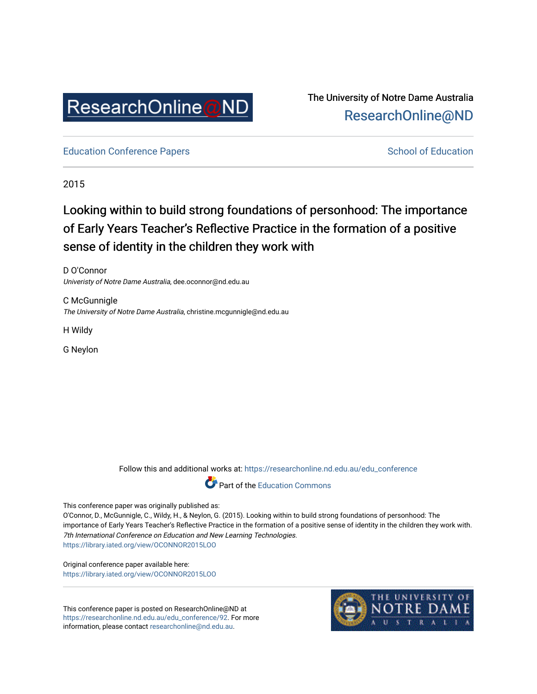

The University of Notre Dame Australia [ResearchOnline@ND](https://researchonline.nd.edu.au/) 

[Education Conference Papers](https://researchonline.nd.edu.au/edu_conference) **School of Education** School of Education

2015

# Looking within to build strong foundations of personhood: The importance of Early Years Teacher's Reflective Practice in the formation of a positive sense of identity in the children they work with

D O'Connor Univeristy of Notre Dame Australia, dee.oconnor@nd.edu.au

C McGunnigle The University of Notre Dame Australia, christine.mcgunnigle@nd.edu.au

H Wildy

G Neylon

Follow this and additional works at: [https://researchonline.nd.edu.au/edu\\_conference](https://researchonline.nd.edu.au/edu_conference?utm_source=researchonline.nd.edu.au%2Fedu_conference%2F92&utm_medium=PDF&utm_campaign=PDFCoverPages)



This conference paper was originally published as:

O'Connor, D., McGunnigle, C., Wildy, H., & Neylon, G. (2015). Looking within to build strong foundations of personhood: The importance of Early Years Teacher's Reflective Practice in the formation of a positive sense of identity in the children they work with. 7th International Conference on Education and New Learning Technologies. <https://library.iated.org/view/OCONNOR2015LOO>

Original conference paper available here: <https://library.iated.org/view/OCONNOR2015LOO>

This conference paper is posted on ResearchOnline@ND at [https://researchonline.nd.edu.au/edu\\_conference/92.](https://researchonline.nd.edu.au/edu_conference/92) For more information, please contact [researchonline@nd.edu.au.](mailto:researchonline@nd.edu.au)

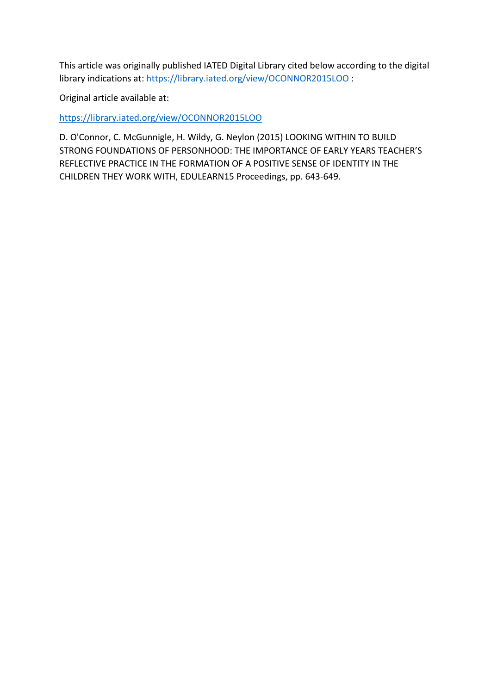This article was originally published IATED Digital Library cited below according to the digital library indications at: <https://library.iated.org/view/OCONNOR2015LOO> :

Original article available at:

<https://library.iated.org/view/OCONNOR2015LOO>

D. O'Connor, C. McGunnigle, H. Wildy, G. Neylon (2015) LOOKING WITHIN TO BUILD STRONG FOUNDATIONS OF PERSONHOOD: THE IMPORTANCE OF EARLY YEARS TEACHER'S REFLECTIVE PRACTICE IN THE FORMATION OF A POSITIVE SENSE OF IDENTITY IN THE CHILDREN THEY WORK WITH, EDULEARN15 Proceedings, pp. 643-649.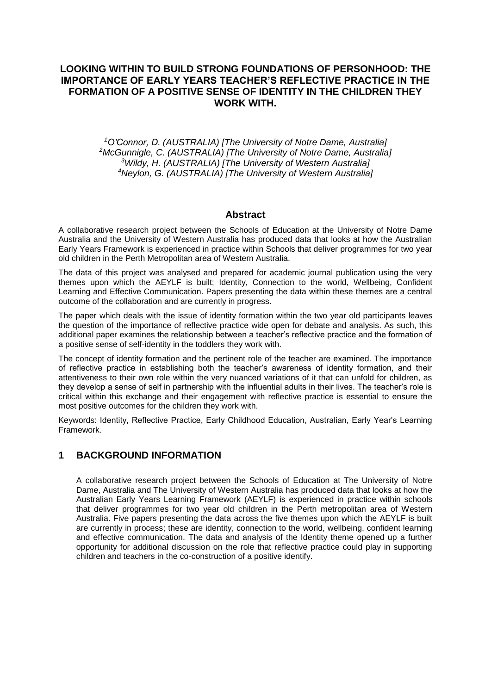## **LOOKING WITHIN TO BUILD STRONG FOUNDATIONS OF PERSONHOOD: THE IMPORTANCE OF EARLY YEARS TEACHER'S REFLECTIVE PRACTICE IN THE FORMATION OF A POSITIVE SENSE OF IDENTITY IN THE CHILDREN THEY WORK WITH.**

*O'Connor, D. (AUSTRALIA) [The University of Notre Dame, Australia] McGunnigle, C. (AUSTRALIA) [The University of Notre Dame, Australia] Wildy, H. (AUSTRALIA) [The University of Western Australia] Neylon, G. (AUSTRALIA) [The University of Western Australia]*

#### **Abstract**

A collaborative research project between the Schools of Education at the University of Notre Dame Australia and the University of Western Australia has produced data that looks at how the Australian Early Years Framework is experienced in practice within Schools that deliver programmes for two year old children in the Perth Metropolitan area of Western Australia.

The data of this project was analysed and prepared for academic journal publication using the very themes upon which the AEYLF is built; Identity, Connection to the world, Wellbeing, Confident Learning and Effective Communication. Papers presenting the data within these themes are a central outcome of the collaboration and are currently in progress.

The paper which deals with the issue of identity formation within the two year old participants leaves the question of the importance of reflective practice wide open for debate and analysis. As such, this additional paper examines the relationship between a teacher's reflective practice and the formation of a positive sense of self-identity in the toddlers they work with.

The concept of identity formation and the pertinent role of the teacher are examined. The importance of reflective practice in establishing both the teacher's awareness of identity formation, and their attentiveness to their own role within the very nuanced variations of it that can unfold for children, as they develop a sense of self in partnership with the influential adults in their lives. The teacher's role is critical within this exchange and their engagement with reflective practice is essential to ensure the most positive outcomes for the children they work with.

Keywords: Identity, Reflective Practice, Early Childhood Education, Australian, Early Year's Learning Framework.

#### **1 BACKGROUND INFORMATION**

A collaborative research project between the Schools of Education at The University of Notre Dame, Australia and The University of Western Australia has produced data that looks at how the Australian Early Years Learning Framework (AEYLF) is experienced in practice within schools that deliver programmes for two year old children in the Perth metropolitan area of Western Australia. Five papers presenting the data across the five themes upon which the AEYLF is built are currently in process; these are identity, connection to the world, wellbeing, confident learning and effective communication. The data and analysis of the Identity theme opened up a further opportunity for additional discussion on the role that reflective practice could play in supporting children and teachers in the co-construction of a positive identify.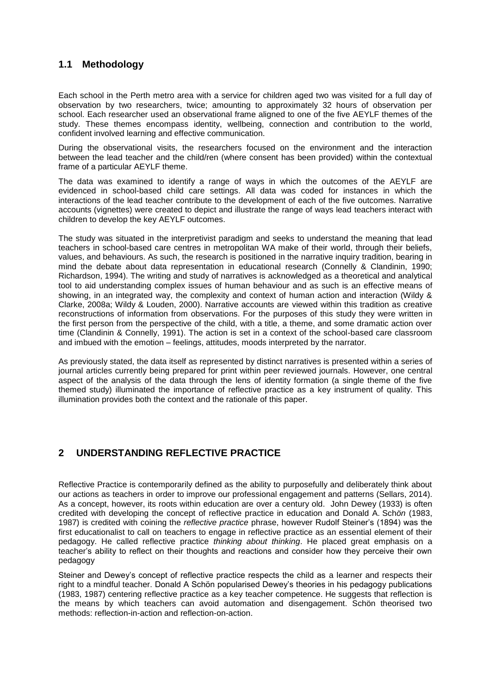# **1.1 Methodology**

Each school in the Perth metro area with a service for children aged two was visited for a full day of observation by two researchers, twice; amounting to approximately 32 hours of observation per school. Each researcher used an observational frame aligned to one of the five AEYLF themes of the study. These themes encompass identity, wellbeing, connection and contribution to the world, confident involved learning and effective communication.

During the observational visits, the researchers focused on the environment and the interaction between the lead teacher and the child/ren (where consent has been provided) within the contextual frame of a particular AEYLF theme.

The data was examined to identify a range of ways in which the outcomes of the AEYLF are evidenced in school-based child care settings. All data was coded for instances in which the interactions of the lead teacher contribute to the development of each of the five outcomes. Narrative accounts (vignettes) were created to depict and illustrate the range of ways lead teachers interact with children to develop the key AEYLF outcomes.

The study was situated in the interpretivist paradigm and seeks to understand the meaning that lead teachers in school-based care centres in metropolitan WA make of their world, through their beliefs, values, and behaviours. As such, the research is positioned in the narrative inquiry tradition, bearing in mind the debate about data representation in educational research (Connelly & Clandinin, 1990; Richardson, 1994). The writing and study of narratives is acknowledged as a theoretical and analytical tool to aid understanding complex issues of human behaviour and as such is an effective means of showing, in an integrated way, the complexity and context of human action and interaction (Wildy & Clarke, 2008a; Wildy & Louden, 2000). Narrative accounts are viewed within this tradition as creative reconstructions of information from observations. For the purposes of this study they were written in the first person from the perspective of the child, with a title, a theme, and some dramatic action over time (Clandinin & Connelly, 1991). The action is set in a context of the school-based care classroom and imbued with the emotion – feelings, attitudes, moods interpreted by the narrator.

As previously stated, the data itself as represented by distinct narratives is presented within a series of journal articles currently being prepared for print within peer reviewed journals. However, one central aspect of the analysis of the data through the lens of identity formation (a single theme of the five themed study) illuminated the importance of reflective practice as a key instrument of quality. This illumination provides both the context and the rationale of this paper.

## **2 UNDERSTANDING REFLECTIVE PRACTICE**

Reflective Practice is contemporarily defined as the ability to purposefully and deliberately think about our actions as teachers in order to improve our professional engagement and patterns (Sellars, 2014). As a concept, however, its roots within education are over a century old. John Dewey (1933) is often credited with developing the concept of reflective practice in education and Donald A. Sch*ön* (1983, 1987) is credited with coining the *reflective practice* phrase, however Rudolf Steiner's (1894) was the first educationalist to call on teachers to engage in reflective practice as an essential element of their pedagogy. He called reflective practice *thinking about thinking*. He placed great emphasis on a teacher's ability to reflect on their thoughts and reactions and consider how they perceive their own pedagogy

Steiner and Dewey's concept of reflective practice respects the child as a learner and respects their right to a mindful teacher. Donald A Schön popularised Dewey's theories in his pedagogy publications (1983, 1987) centering reflective practice as a key teacher competence. He suggests that reflection is the means by which teachers can avoid automation and disengagement. Schön theorised two methods: reflection-in-action and reflection-on-action.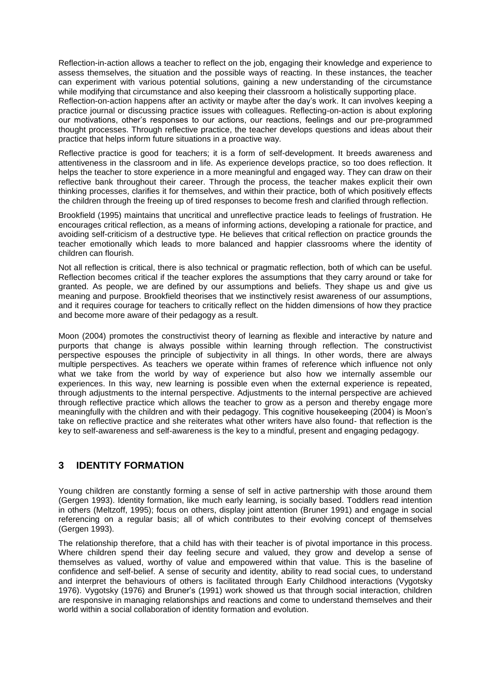Reflection-in-action allows a teacher to reflect on the job, engaging their knowledge and experience to assess themselves, the situation and the possible ways of reacting. In these instances, the teacher can experiment with various potential solutions, gaining a new understanding of the circumstance while modifying that circumstance and also keeping their classroom a holistically supporting place. Reflection-on-action happens after an activity or maybe after the day's work. It can involves keeping a

practice journal or discussing practice issues with colleagues. Reflecting-on-action is about exploring our motivations, other's responses to our actions, our reactions, feelings and our pre-programmed thought processes. Through reflective practice, the teacher develops questions and ideas about their practice that helps inform future situations in a proactive way.

Reflective practice is good for teachers; it is a form of self-development. It breeds awareness and attentiveness in the classroom and in life. As experience develops practice, so too does reflection. It helps the teacher to store experience in a more meaningful and engaged way. They can draw on their reflective bank throughout their career. Through the process, the teacher makes explicit their own thinking processes, clarifies it for themselves, and within their practice, both of which positively effects the children through the freeing up of tired responses to become fresh and clarified through reflection.

Brookfield (1995) maintains that uncritical and unreflective practice leads to feelings of frustration. He encourages critical reflection, as a means of informing actions, developing a rationale for practice, and avoiding self-criticism of a destructive type. He believes that critical reflection on practice grounds the teacher emotionally which leads to more balanced and happier classrooms where the identity of children can flourish.

Not all reflection is critical, there is also technical or pragmatic reflection, both of which can be useful. Reflection becomes critical if the teacher explores the assumptions that they carry around or take for granted. As people, we are defined by our assumptions and beliefs. They shape us and give us meaning and purpose. Brookfield theorises that we instinctively resist awareness of our assumptions, and it requires courage for teachers to critically reflect on the hidden dimensions of how they practice and become more aware of their pedagogy as a result.

Moon (2004) promotes the constructivist theory of learning as flexible and interactive by nature and purports that change is always possible within learning through reflection. The constructivist perspective espouses the principle of subjectivity in all things. In other words, there are always multiple perspectives. As teachers we operate within frames of reference which influence not only what we take from the world by way of experience but also how we internally assemble our experiences. In this way, new learning is possible even when the external experience is repeated, through adjustments to the internal perspective. Adjustments to the internal perspective are achieved through reflective practice which allows the teacher to grow as a person and thereby engage more meaningfully with the children and with their pedagogy. This cognitive housekeeping (2004) is Moon's take on reflective practice and she reiterates what other writers have also found- that reflection is the key to self-awareness and self-awareness is the key to a mindful, present and engaging pedagogy.

## **3 IDENTITY FORMATION**

Young children are constantly forming a sense of self in active partnership with those around them (Gergen 1993). Identity formation, like much early learning, is socially based. Toddlers read intention in others (Meltzoff, 1995); focus on others, display joint attention (Bruner 1991) and engage in social referencing on a regular basis; all of which contributes to their evolving concept of themselves (Gergen 1993).

The relationship therefore, that a child has with their teacher is of pivotal importance in this process. Where children spend their day feeling secure and valued, they grow and develop a sense of themselves as valued, worthy of value and empowered within that value. This is the baseline of confidence and self-belief. A sense of security and identity, ability to read social cues, to understand and interpret the behaviours of others is facilitated through Early Childhood interactions (Vygotsky 1976). Vygotsky (1976) and Bruner's (1991) work showed us that through social interaction, children are responsive in managing relationships and reactions and come to understand themselves and their world within a social collaboration of identity formation and evolution.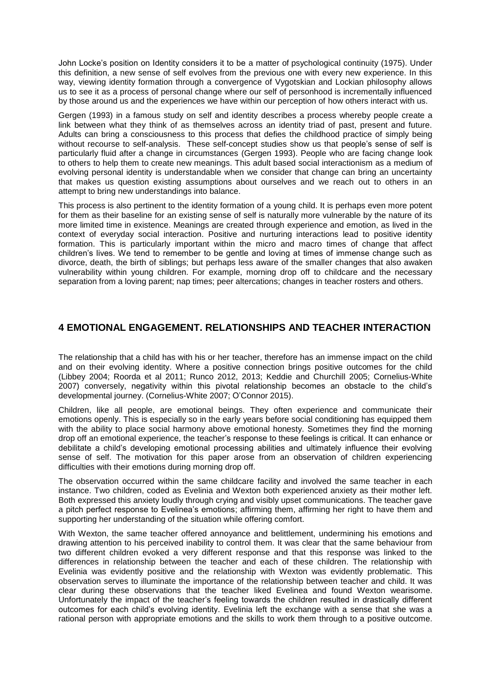John Locke's position on Identity considers it to be a matter of psychological continuity (1975). Under this definition, a new sense of self evolves from the previous one with every new experience. In this way, viewing identity formation through a convergence of Vygotskian and Lockian philosophy allows us to see it as a process of personal change where our self of personhood is incrementally influenced by those around us and the experiences we have within our perception of how others interact with us.

Gergen (1993) in a famous study on self and identity describes a process whereby people create a link between what they think of as themselves across an identity triad of past, present and future. Adults can bring a consciousness to this process that defies the childhood practice of simply being without recourse to self-analysis. These self-concept studies show us that people's sense of self is particularly fluid after a change in circumstances (Gergen 1993). People who are facing change look to others to help them to create new meanings. This adult based social interactionism as a medium of evolving personal identity is understandable when we consider that change can bring an uncertainty that makes us question existing assumptions about ourselves and we reach out to others in an attempt to bring new understandings into balance.

This process is also pertinent to the identity formation of a young child. It is perhaps even more potent for them as their baseline for an existing sense of self is naturally more vulnerable by the nature of its more limited time in existence. Meanings are created through experience and emotion, as lived in the context of everyday social interaction. Positive and nurturing interactions lead to positive identity formation. This is particularly important within the micro and macro times of change that affect children's lives. We tend to remember to be gentle and loving at times of immense change such as divorce, death, the birth of siblings; but perhaps less aware of the smaller changes that also awaken vulnerability within young children. For example, morning drop off to childcare and the necessary separation from a loving parent; nap times; peer altercations; changes in teacher rosters and others.

## **4 EMOTIONAL ENGAGEMENT. RELATIONSHIPS AND TEACHER INTERACTION**

The relationship that a child has with his or her teacher, therefore has an immense impact on the child and on their evolving identity. Where a positive connection brings positive outcomes for the child (Libbey 2004; Roorda et al 2011; Runco 2012, 2013; Keddie and Churchill 2005; Cornelius-White 2007) conversely, negativity within this pivotal relationship becomes an obstacle to the child's developmental journey. (Cornelius-White 2007; O'Connor 2015).

Children, like all people, are emotional beings. They often experience and communicate their emotions openly. This is especially so in the early years before social conditioning has equipped them with the ability to place social harmony above emotional honesty. Sometimes they find the morning drop off an emotional experience, the teacher's response to these feelings is critical. It can enhance or debilitate a child's developing emotional processing abilities and ultimately influence their evolving sense of self. The motivation for this paper arose from an observation of children experiencing difficulties with their emotions during morning drop off.

The observation occurred within the same childcare facility and involved the same teacher in each instance. Two children, coded as Evelinia and Wexton both experienced anxiety as their mother left. Both expressed this anxiety loudly through crying and visibly upset communications. The teacher gave a pitch perfect response to Evelinea's emotions; affirming them, affirming her right to have them and supporting her understanding of the situation while offering comfort.

With Wexton, the same teacher offered annoyance and belittlement, undermining his emotions and drawing attention to his perceived inability to control them. It was clear that the same behaviour from two different children evoked a very different response and that this response was linked to the differences in relationship between the teacher and each of these children. The relationship with Evelinia was evidently positive and the relationship with Wexton was evidently problematic. This observation serves to illuminate the importance of the relationship between teacher and child. It was clear during these observations that the teacher liked Evelinea and found Wexton wearisome. Unfortunately the impact of the teacher's feeling towards the children resulted in drastically different outcomes for each child's evolving identity. Evelinia left the exchange with a sense that she was a rational person with appropriate emotions and the skills to work them through to a positive outcome.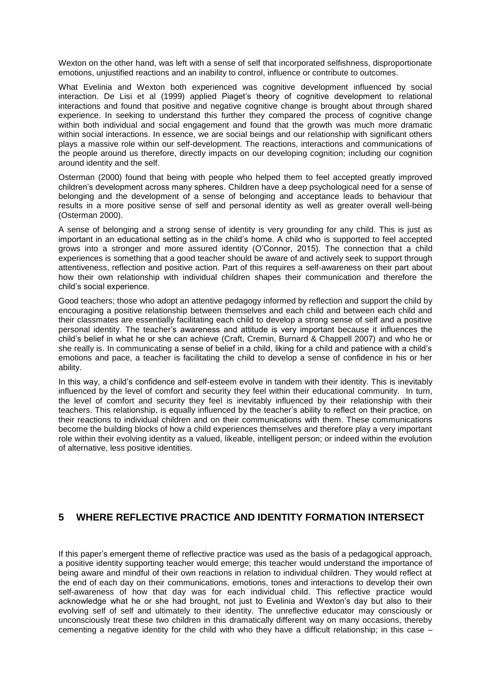Wexton on the other hand, was left with a sense of self that incorporated selfishness, disproportionate emotions, unjustified reactions and an inability to control, influence or contribute to outcomes.

What Evelinia and Wexton both experienced was cognitive development influenced by social interaction. De Lisi et al (1999) applied Piaget's theory of cognitive development to relational interactions and found that positive and negative cognitive change is brought about through shared experience. In seeking to understand this further they compared the process of cognitive change within both individual and social engagement and found that the growth was much more dramatic within social interactions. In essence, we are social beings and our relationship with significant others plays a massive role within our self-development. The reactions, interactions and communications of the people around us therefore, directly impacts on our developing cognition; including our cognition around identity and the self.

Osterman (2000) found that being with people who helped them to feel accepted greatly improved children's development across many spheres. Children have a deep psychological need for a sense of belonging and the development of a sense of belonging and acceptance leads to behaviour that results in a more positive sense of self and personal identity as well as greater overall well-being (Osterman 2000).

A sense of belonging and a strong sense of identity is very grounding for any child. This is just as important in an educational setting as in the child's home. A child who is supported to feel accepted grows into a stronger and more assured identity (O'Connor, 2015). The connection that a child experiences is something that a good teacher should be aware of and actively seek to support through attentiveness, reflection and positive action. Part of this requires a self-awareness on their part about how their own relationship with individual children shapes their communication and therefore the child's social experience.

Good teachers; those who adopt an attentive pedagogy informed by reflection and support the child by encouraging a positive relationship between themselves and each child and between each child and their classmates are essentially facilitating each child to develop a strong sense of self and a positive personal identity. The teacher's awareness and attitude is very important because it influences the child's belief in what he or she can achieve (Craft, Cremin, Burnard & Chappell 2007) and who he or she really is. In communicating a sense of belief in a child, liking for a child and patience with a child's emotions and pace, a teacher is facilitating the child to develop a sense of confidence in his or her ability.

In this way, a child's confidence and self-esteem evolve in tandem with their identity. This is inevitably influenced by the level of comfort and security they feel within their educational community. In turn, the level of comfort and security they feel is inevitably influenced by their relationship with their teachers. This relationship, is equally influenced by the teacher's ability to reflect on their practice, on their reactions to individual children and on their communications with them. These communications become the building blocks of how a child experiences themselves and therefore play a very important role within their evolving identity as a valued, likeable, intelligent person; or indeed within the evolution of alternative, less positive identities.

## **5 WHERE REFLECTIVE PRACTICE AND IDENTITY FORMATION INTERSECT**

If this paper's emergent theme of reflective practice was used as the basis of a pedagogical approach, a positive identity supporting teacher would emerge; this teacher would understand the importance of being aware and mindful of their own reactions in relation to individual children. They would reflect at the end of each day on their communications, emotions, tones and interactions to develop their own self-awareness of how that day was for each individual child. This reflective practice would acknowledge what he or she had brought, not just to Evelinia and Wexton's day but also to their evolving self of self and ultimately to their identity. The unreflective educator may consciously or unconsciously treat these two children in this dramatically different way on many occasions, thereby cementing a negative identity for the child with who they have a difficult relationship; in this case –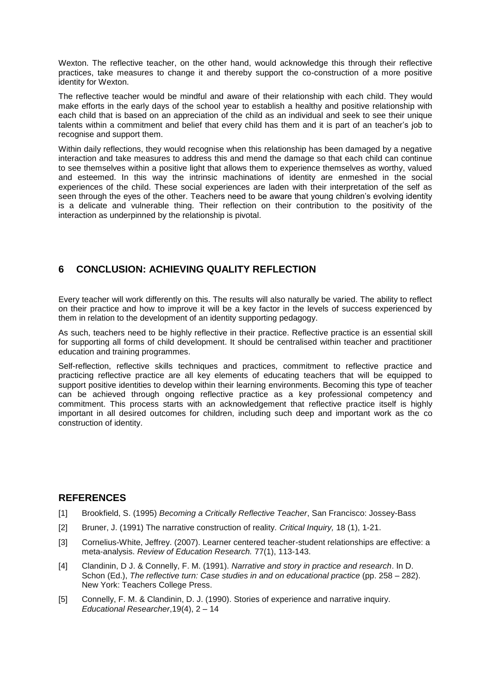Wexton. The reflective teacher, on the other hand, would acknowledge this through their reflective practices, take measures to change it and thereby support the co-construction of a more positive identity for Wexton.

The reflective teacher would be mindful and aware of their relationship with each child. They would make efforts in the early days of the school year to establish a healthy and positive relationship with each child that is based on an appreciation of the child as an individual and seek to see their unique talents within a commitment and belief that every child has them and it is part of an teacher's job to recognise and support them.

Within daily reflections, they would recognise when this relationship has been damaged by a negative interaction and take measures to address this and mend the damage so that each child can continue to see themselves within a positive light that allows them to experience themselves as worthy, valued and esteemed. In this way the intrinsic machinations of identity are enmeshed in the social experiences of the child. These social experiences are laden with their interpretation of the self as seen through the eyes of the other. Teachers need to be aware that young children's evolving identity is a delicate and vulnerable thing. Their reflection on their contribution to the positivity of the interaction as underpinned by the relationship is pivotal.

# **6 CONCLUSION: ACHIEVING QUALITY REFLECTION**

Every teacher will work differently on this. The results will also naturally be varied. The ability to reflect on their practice and how to improve it will be a key factor in the levels of success experienced by them in relation to the development of an identity supporting pedagogy.

As such, teachers need to be highly reflective in their practice. Reflective practice is an essential skill for supporting all forms of child development. It should be centralised within teacher and practitioner education and training programmes.

Self-reflection, reflective skills techniques and practices, commitment to reflective practice and practicing reflective practice are all key elements of educating teachers that will be equipped to support positive identities to develop within their learning environments. Becoming this type of teacher can be achieved through ongoing reflective practice as a key professional competency and commitment. This process starts with an acknowledgement that reflective practice itself is highly important in all desired outcomes for children, including such deep and important work as the co construction of identity.

## **REFERENCES**

- [1] Brookfield, S. (1995) *Becoming a Critically Reflective Teacher*, San Francisco: Jossey-Bass
- [2] Bruner, J. (1991) The narrative construction of reality. *Critical Inquiry,* 18 (1), 1-21.
- [3] Cornelius-White, Jeffrey. (2007). Learner centered teacher-student relationships are effective: a meta-analysis. *Review of Education Research.* 77(1), 113-143.
- [4] Clandinin, D J. & Connelly, F. M. (1991). *Narrative and story in practice and research*. In D. Schon (Ed.), *The reflective turn: Case studies in and on educational practice* (pp. 258 – 282). New York: Teachers College Press.
- [5] Connelly, F. M. & Clandinin, D. J. (1990). Stories of experience and narrative inquiry. *Educational Researcher*,19(4), 2 – 14